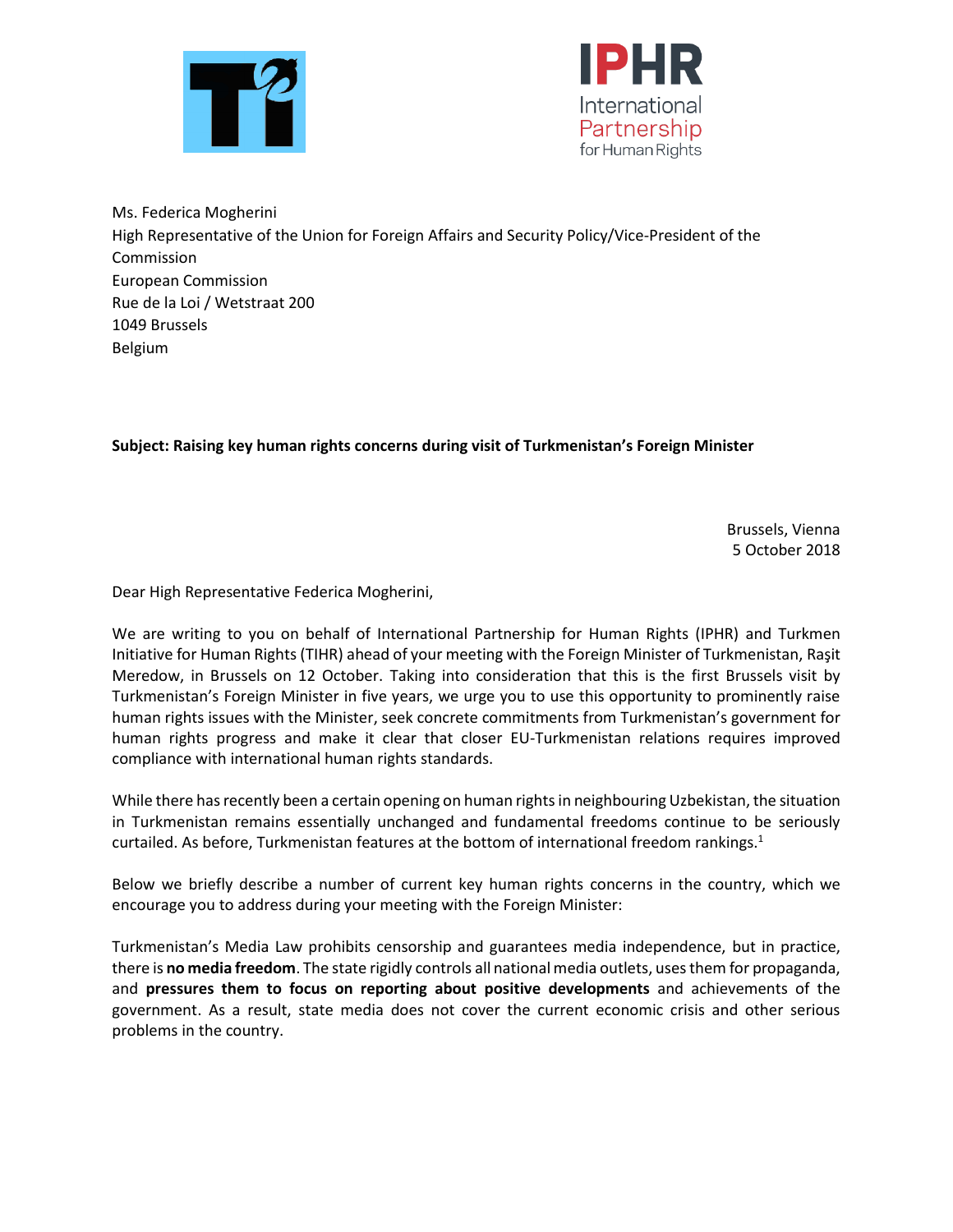



Ms. Federica Mogherini High Representative of the Union for Foreign Affairs and Security Policy/Vice-President of the Commission European Commission Rue de la Loi / Wetstraat 200 1049 Brussels Belgium

## **Subject: Raising key human rights concerns during visit of Turkmenistan's Foreign Minister**

Brussels, Vienna 5 October 2018

Dear High Representative Federica Mogherini,

We are writing to you on behalf of International Partnership for Human Rights (IPHR) and Turkmen Initiative for Human Rights (TIHR) ahead of your meeting with the Foreign Minister of Turkmenistan, Raşit Meredow, in Brussels on 12 October. Taking into consideration that this is the first Brussels visit by Turkmenistan's Foreign Minister in five years, we urge you to use this opportunity to prominently raise human rights issues with the Minister, seek concrete commitments from Turkmenistan's government for human rights progress and make it clear that closer EU-Turkmenistan relations requires improved compliance with international human rights standards.

While there has recently been a certain opening on human rights in neighbouring Uzbekistan, the situation in Turkmenistan remains essentially unchanged and fundamental freedoms continue to be seriously curtailed. As before, Turkmenistan features at the bottom of international freedom rankings.<sup>1</sup>

Below we briefly describe a number of current key human rights concerns in the country, which we encourage you to address during your meeting with the Foreign Minister:

Turkmenistan's Media Law prohibits censorship and guarantees media independence, but in practice, there is **no media freedom**. The state rigidly controls all national media outlets, usesthem for propaganda, and **pressures them to focus on reporting about positive developments** and achievements of the government. As a result, state media does not cover the current economic crisis and other serious problems in the country.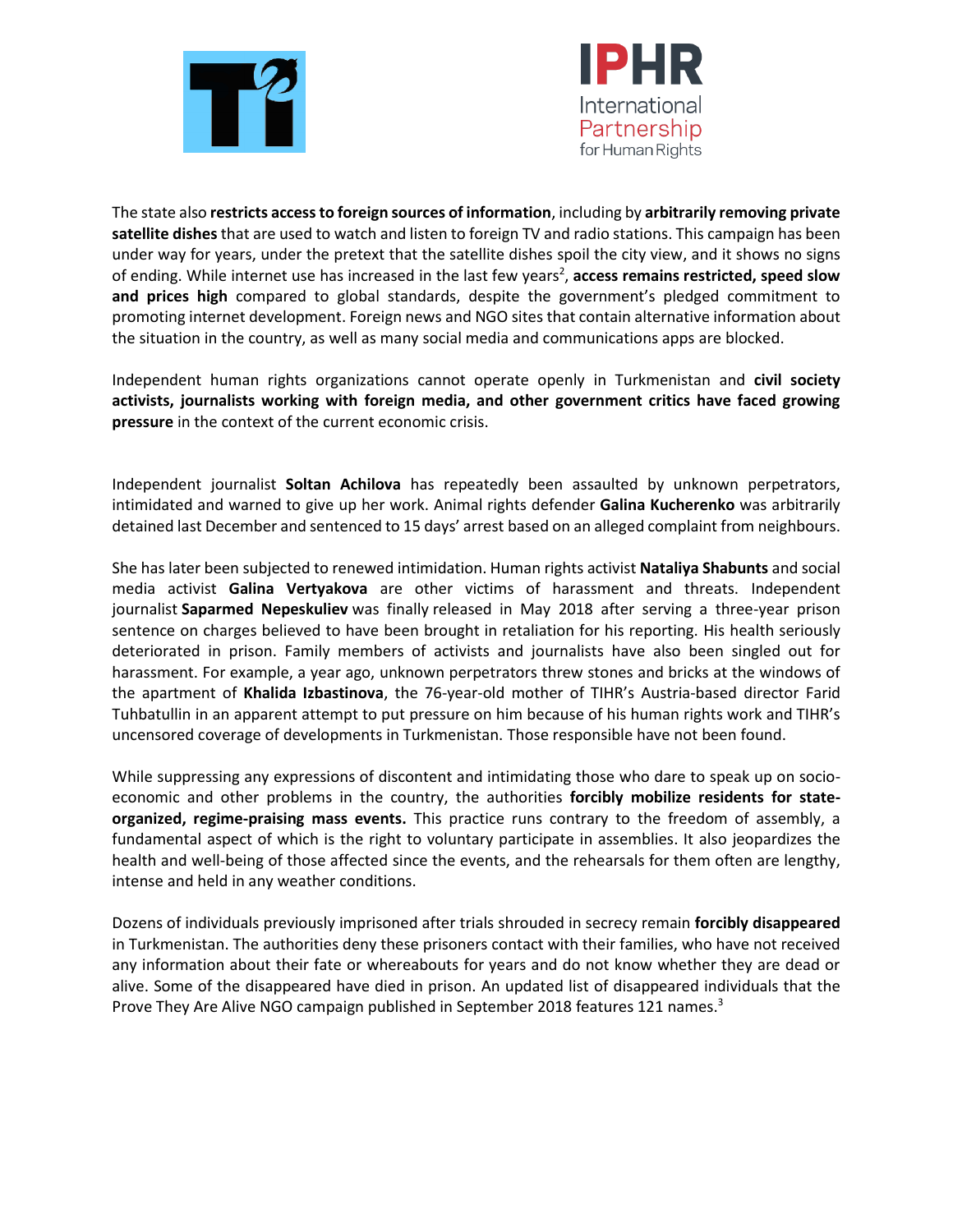



The state also **restricts access to foreign sources of information**, including by **arbitrarily removing private satellite dishes** that are used to watch and listen to foreign TV and radio stations. This campaign has been under way for years, under the pretext that the satellite dishes spoil the city view, and it shows no signs of ending. While internet use has increased in the last few years<sup>2</sup>, access remains restricted, speed slow **and prices high** compared to global standards, despite the government's pledged commitment to promoting internet development. Foreign news and NGO sites that contain alternative information about the situation in the country, as well as many social media and communications apps are blocked.

Independent human rights organizations cannot operate openly in Turkmenistan and **civil society activists, journalists working with foreign media, and other government critics have faced growing pressure** in the context of the current economic crisis.

Independent journalist **Soltan Achilova** has repeatedly been assaulted by unknown perpetrators, intimidated and warned to give up her work. Animal rights defender **Galina Kucherenko** was arbitrarily detained last December and sentenced to 15 days' arrest based on an alleged complaint from neighbours.

She has later been subjected to renewed intimidation. Human rights activist **Nataliya Shabunts** and social media activist **Galina Vertyakova** are other victims of harassment and threats. Independent journalist **Saparmed Nepeskuliev** was finally released in May 2018 after serving a three-year prison sentence on charges believed to have been brought in retaliation for his reporting. His health seriously deteriorated in prison. Family members of activists and journalists have also been singled out for harassment. For example, a year ago, unknown perpetrators threw stones and bricks at the windows of the apartment of **Khalida Izbastinova**, the 76-year-old mother of TIHR's Austria-based director Farid Tuhbatullin in an apparent attempt to put pressure on him because of his human rights work and TIHR's uncensored coverage of developments in Turkmenistan. Those responsible have not been found.

While suppressing any expressions of discontent and intimidating those who dare to speak up on socioeconomic and other problems in the country, the authorities **forcibly mobilize residents for stateorganized, regime-praising mass events.** This practice runs contrary to the freedom of assembly, a fundamental aspect of which is the right to voluntary participate in assemblies. It also jeopardizes the health and well-being of those affected since the events, and the rehearsals for them often are lengthy, intense and held in any weather conditions.

Dozens of individuals previously imprisoned after trials shrouded in secrecy remain **forcibly disappeared** in Turkmenistan. The authorities deny these prisoners contact with their families, who have not received any information about their fate or whereabouts for years and do not know whether they are dead or alive. Some of the disappeared have died in prison. An updated list of disappeared individuals that the Prove They Are Alive NGO campaign published in September 2018 features 121 names.<sup>3</sup>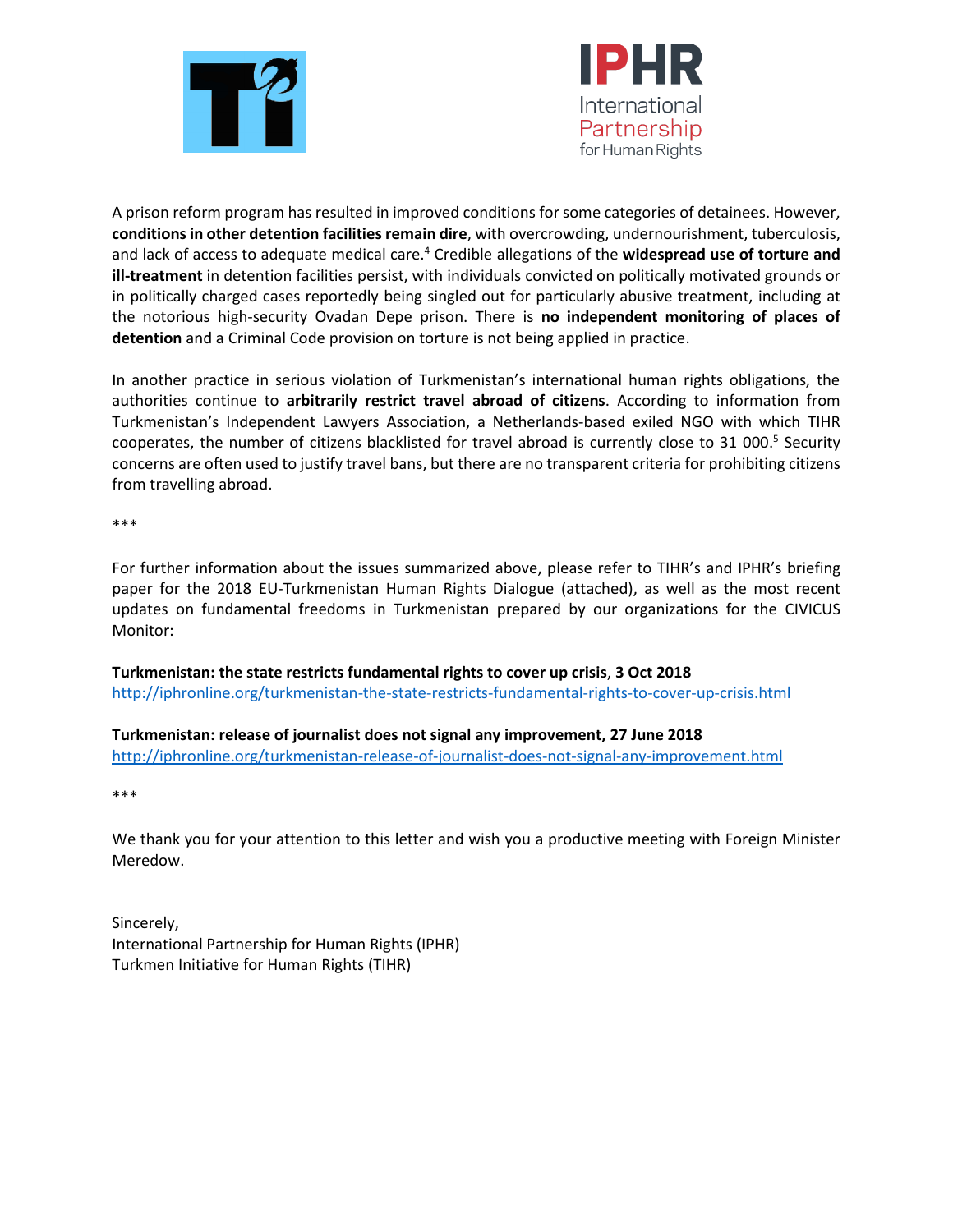



A prison reform program has resulted in improved conditions for some categories of detainees. However, **conditions in other detention facilities remain dire**, with overcrowding, undernourishment, tuberculosis, and lack of access to adequate medical care.<sup>4</sup> Credible allegations of the **widespread use of torture and ill-treatment** in detention facilities persist, with individuals convicted on politically motivated grounds or in politically charged cases reportedly being singled out for particularly abusive treatment, including at the notorious high-security Ovadan Depe prison. There is **no independent monitoring of places of detention** and a Criminal Code provision on torture is not being applied in practice.

In another practice in serious violation of Turkmenistan's international human rights obligations, the authorities continue to **arbitrarily restrict travel abroad of citizens**. According to information from Turkmenistan's Independent Lawyers Association, a Netherlands-based exiled NGO with which TIHR cooperates, the number of citizens blacklisted for travel abroad is currently close to 31 000.<sup>5</sup> Security concerns are often used to justify travel bans, but there are no transparent criteria for prohibiting citizens from travelling abroad.

\*\*\*

For further information about the issues summarized above, please refer to TIHR's and IPHR's briefing paper for the 2018 EU-Turkmenistan Human Rights Dialogue (attached), as well as the most recent updates on fundamental freedoms in Turkmenistan prepared by our organizations for the CIVICUS Monitor:

**Turkmenistan: the state restricts fundamental rights to cover up crisis**, **3 Oct 2018**  <http://iphronline.org/turkmenistan-the-state-restricts-fundamental-rights-to-cover-up-crisis.html>

**Turkmenistan: release of journalist does not signal any improvement, 27 June 2018** <http://iphronline.org/turkmenistan-release-of-journalist-does-not-signal-any-improvement.html>

\*\*\*

We thank you for your attention to this letter and wish you a productive meeting with Foreign Minister Meredow.

Sincerely, International Partnership for Human Rights (IPHR) Turkmen Initiative for Human Rights (TIHR)